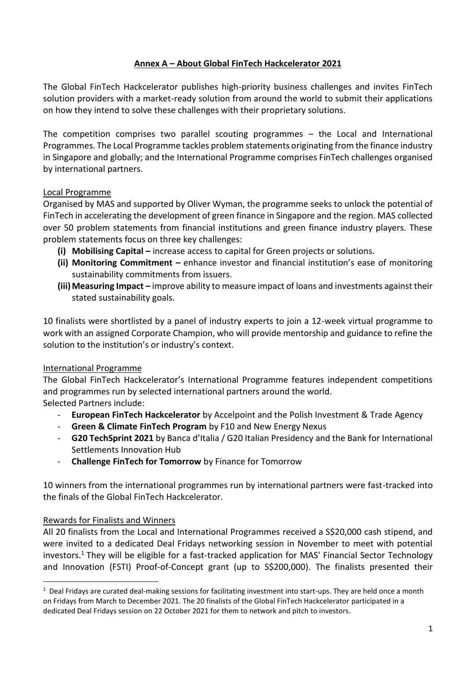### **Annex A – About Global FinTech Hackcelerator 2021**

The Global FinTech Hackcelerator publishes high-priority business challenges and invites FinTech solution providers with a market-ready solution from around the world to submit their applications on how they intend to solve these challenges with their proprietary solutions.

The competition comprises two parallel scouting programmes – the Local and International Programmes. The Local Programme tackles problem statements originating from the finance industry in Singapore and globally; and the International Programme comprises FinTech challenges organised by international partners.

### Local Programme

Organised by MAS and supported by Oliver Wyman, the programme seeks to unlock the potential of FinTech in accelerating the development of green finance in Singapore and the region. MAS collected over 50 problem statements from financial institutions and green finance industry players. These problem statements focus on three key challenges:

- **(i) Mobilising Capital –** increase access to capital for Green projects or solutions.
- **(ii) Monitoring Commitment –** enhance investor and financial institution's ease of monitoring sustainability commitments from issuers.
- **(iii) Measuring Impact** improve ability to measure impact of loans and investments against their stated sustainability goals.

10 finalists were shortlisted by a panel of industry experts to join a 12-week virtual programme to work with an assigned Corporate Champion, who will provide mentorship and guidance to refine the solution to the institution's or industry's context.

#### International Programme

The Global FinTech Hackcelerator's International Programme features independent competitions and programmes run by selected international partners around the world.

Selected Partners include:

- **European FinTech Hackcelerator** by Accelpoint and the Polish Investment & Trade Agency
- **Green & Climate FinTech Program** by F10 and New Energy Nexus
- **G20 TechSprint 2021** by Banca d'Italia / G20 Italian Presidency and the Bank for International Settlements Innovation Hub
- **Challenge FinTech for Tomorrow** by Finance for Tomorrow

10 winners from the international programmes run by international partners were fast-tracked into the finals of the Global FinTech Hackcelerator.

#### Rewards for Finalists and Winners

All 20 finalists from the Local and International Programmes received a S\$20,000 cash stipend, and were invited to a dedicated Deal Fridays networking session in November to meet with potential investors.<sup>1</sup> They will be eligible for a fast-tracked application for MAS' Financial Sector Technology and Innovation (FSTI) Proof-of-Concept grant (up to S\$200,000). The finalists presented their

 $1$  Deal Fridays are curated deal-making sessions for facilitating investment into start-ups. They are held once a month on Fridays from March to December 2021. The 20 finalists of the Global FinTech Hackcelerator participated in a dedicated Deal Fridays session on 22 October 2021 for them to network and pitch to investors.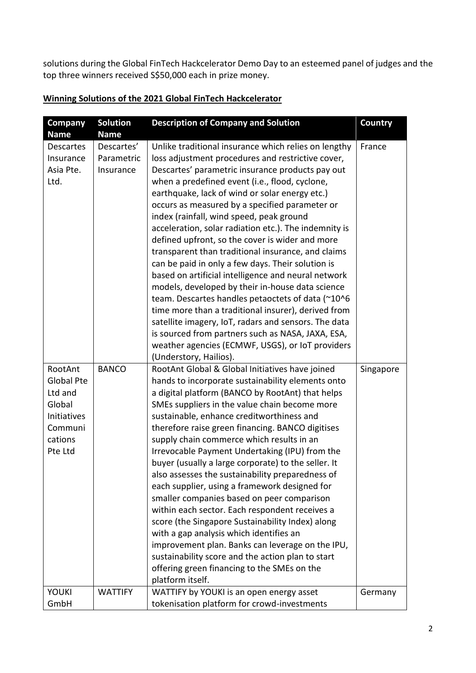solutions during the Global FinTech Hackcelerator Demo Day to an esteemed panel of judges and the top three winners received S\$50,000 each in prize money.

# **Winning Solutions of the 2021 Global FinTech Hackcelerator**

| <b>Company</b>   | <b>Solution</b> | <b>Description of Company and Solution</b>            | Country   |
|------------------|-----------------|-------------------------------------------------------|-----------|
| <b>Name</b>      | <b>Name</b>     |                                                       |           |
| <b>Descartes</b> | Descartes'      | Unlike traditional insurance which relies on lengthy  | France    |
| Insurance        | Parametric      | loss adjustment procedures and restrictive cover,     |           |
| Asia Pte.        | Insurance       | Descartes' parametric insurance products pay out      |           |
| Ltd.             |                 | when a predefined event (i.e., flood, cyclone,        |           |
|                  |                 | earthquake, lack of wind or solar energy etc.)        |           |
|                  |                 | occurs as measured by a specified parameter or        |           |
|                  |                 | index (rainfall, wind speed, peak ground              |           |
|                  |                 | acceleration, solar radiation etc.). The indemnity is |           |
|                  |                 | defined upfront, so the cover is wider and more       |           |
|                  |                 | transparent than traditional insurance, and claims    |           |
|                  |                 | can be paid in only a few days. Their solution is     |           |
|                  |                 | based on artificial intelligence and neural network   |           |
|                  |                 | models, developed by their in-house data science      |           |
|                  |                 | team. Descartes handles petaoctets of data (~10^6     |           |
|                  |                 | time more than a traditional insurer), derived from   |           |
|                  |                 | satellite imagery, IoT, radars and sensors. The data  |           |
|                  |                 | is sourced from partners such as NASA, JAXA, ESA,     |           |
|                  |                 | weather agencies (ECMWF, USGS), or IoT providers      |           |
|                  |                 | (Understory, Hailios).                                |           |
| RootAnt          | <b>BANCO</b>    | RootAnt Global & Global Initiatives have joined       | Singapore |
| Global Pte       |                 | hands to incorporate sustainability elements onto     |           |
| Ltd and          |                 | a digital platform (BANCO by RootAnt) that helps      |           |
| Global           |                 | SMEs suppliers in the value chain become more         |           |
| Initiatives      |                 | sustainable, enhance creditworthiness and             |           |
| Communi          |                 | therefore raise green financing. BANCO digitises      |           |
| cations          |                 | supply chain commerce which results in an             |           |
| Pte Ltd          |                 | Irrevocable Payment Undertaking (IPU) from the        |           |
|                  |                 | buyer (usually a large corporate) to the seller. It   |           |
|                  |                 | also assesses the sustainability preparedness of      |           |
|                  |                 | each supplier, using a framework designed for         |           |
|                  |                 | smaller companies based on peer comparison            |           |
|                  |                 | within each sector. Each respondent receives a        |           |
|                  |                 | score (the Singapore Sustainability Index) along      |           |
|                  |                 | with a gap analysis which identifies an               |           |
|                  |                 | improvement plan. Banks can leverage on the IPU,      |           |
|                  |                 | sustainability score and the action plan to start     |           |
|                  |                 | offering green financing to the SMEs on the           |           |
|                  |                 | platform itself.                                      |           |
| <b>YOUKI</b>     | <b>WATTIFY</b>  | WATTIFY by YOUKI is an open energy asset              | Germany   |
| GmbH             |                 | tokenisation platform for crowd-investments           |           |